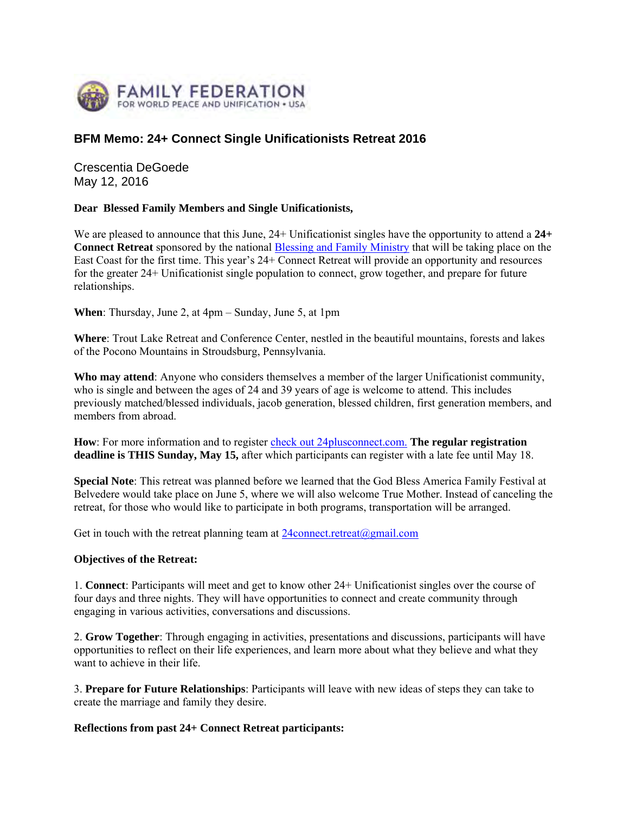

## **BFM Memo: 24+ Connect Single Unificationists Retreat 2016**

Crescentia DeGoede May 12, 2016

## **Dear Blessed Family Members and Single Unificationists,**

We are pleased to announce that this June, 24+ Unificationist singles have the opportunity to attend a **24+ Connect Retreat** sponsored by the national Blessing and Family Ministry that will be taking place on the East Coast for the first time. This year's 24+ Connect Retreat will provide an opportunity and resources for the greater 24+ Unificationist single population to connect, grow together, and prepare for future relationships.

**When**: Thursday, June 2, at 4pm – Sunday, June 5, at 1pm

**Where**: Trout Lake Retreat and Conference Center, nestled in the beautiful mountains, forests and lakes of the Pocono Mountains in Stroudsburg, Pennsylvania.

**Who may attend**: Anyone who considers themselves a member of the larger Unificationist community, who is single and between the ages of 24 and 39 years of age is welcome to attend. This includes previously matched/blessed individuals, jacob generation, blessed children, first generation members, and members from abroad.

**How**: For more information and to register check out 24plusconnect.com. **The regular registration deadline is THIS Sunday, May 15,** after which participants can register with a late fee until May 18.

**Special Note**: This retreat was planned before we learned that the God Bless America Family Festival at Belvedere would take place on June 5, where we will also welcome True Mother. Instead of canceling the retreat, for those who would like to participate in both programs, transportation will be arranged.

Get in touch with the retreat planning team at  $24$ connect.retreat $(\partial g$ mail.com

## **Objectives of the Retreat:**

1. **Connect**: Participants will meet and get to know other 24+ Unificationist singles over the course of four days and three nights. They will have opportunities to connect and create community through engaging in various activities, conversations and discussions.

2. **Grow Together**: Through engaging in activities, presentations and discussions, participants will have opportunities to reflect on their life experiences, and learn more about what they believe and what they want to achieve in their life.

3. **Prepare for Future Relationships**: Participants will leave with new ideas of steps they can take to create the marriage and family they desire.

## **Reflections from past 24+ Connect Retreat participants:**